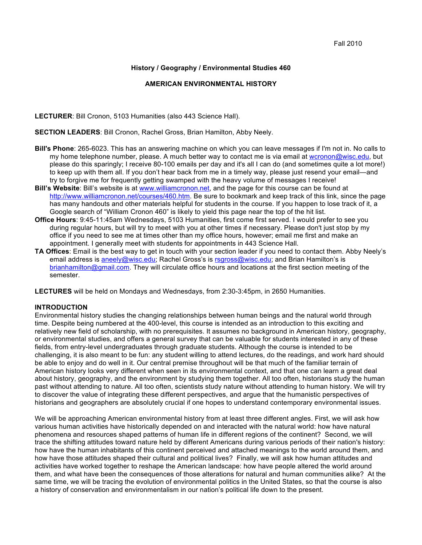# **History / Geography / Environmental Studies 460**

#### **AMERICAN ENVIRONMENTAL HISTORY**

**LECTURER**: Bill Cronon, 5103 Humanities (also 443 Science Hall).

**SECTION LEADERS**: Bill Cronon, Rachel Gross, Brian Hamilton, Abby Neely.

- **Bill's Phone**: 265-6023. This has an answering machine on which you can leave messages if I'm not in. No calls to my home telephone number, please. A much better way to contact me is via email at wcronon@wisc.edu, but please do this sparingly; I receive 80-100 emails per day and it's all I can do (and sometimes quite a lot more!) to keep up with them all. If you don't hear back from me in a timely way, please just resend your email—and try to forgive me for frequently getting swamped with the heavy volume of messages I receive!
- **Bill's Website**: Bill's website is at www.williamcronon.net, and the page for this course can be found at http://www.williamcronon.net/courses/460.htm. Be sure to bookmark and keep track of this link, since the page has many handouts and other materials helpful for students in the course. If you happen to lose track of it, a Google search of "William Cronon 460" is likely to yield this page near the top of the hit list.
- **Office Hours**: 9:45-11:45am Wednesdays, 5103 Humanities, first come first served. I would prefer to see you during regular hours, but will try to meet with you at other times if necessary. Please don't just stop by my office if you need to see me at times other than my office hours, however; email me first and make an appointment. I generally meet with students for appointments in 443 Science Hall.
- **TA Offices**: Email is the best way to get in touch with your section leader if you need to contact them. Abby Neely's email address is aneely@wisc.edu; Rachel Gross's is rsgross@wisc.edu; and Brian Hamilton's is brianhamilton@gmail.com. They will circulate office hours and locations at the first section meeting of the semester.

**LECTURES** will be held on Mondays and Wednesdays, from 2:30-3:45pm, in 2650 Humanities.

#### **INTRODUCTION**

Environmental history studies the changing relationships between human beings and the natural world through time. Despite being numbered at the 400-level, this course is intended as an introduction to this exciting and relatively new field of scholarship, with no prerequisites. It assumes no background in American history, geography, or environmental studies, and offers a general survey that can be valuable for students interested in any of these fields, from entry-level undergraduates through graduate students. Although the course is intended to be challenging, it is also meant to be fun: any student willing to attend lectures, do the readings, and work hard should be able to enjoy and do well in it. Our central premise throughout will be that much of the familiar terrain of American history looks very different when seen in its environmental context, and that one can learn a great deal about history, geography, and the environment by studying them together. All too often, historians study the human past without attending to nature. All too often, scientists study nature without attending to human history. We will try to discover the value of integrating these different perspectives, and argue that the humanistic perspectives of historians and geographers are absolutely crucial if one hopes to understand contemporary environmental issues.

We will be approaching American environmental history from at least three different angles. First, we will ask how various human activities have historically depended on and interacted with the natural world: how have natural phenomena and resources shaped patterns of human life in different regions of the continent? Second, we will trace the shifting attitudes toward nature held by different Americans during various periods of their nation's history: how have the human inhabitants of this continent perceived and attached meanings to the world around them, and how have those attitudes shaped their cultural and political lives? Finally, we will ask how human attitudes and activities have worked together to reshape the American landscape: how have people altered the world around them, and what have been the consequences of those alterations for natural and human communities alike? At the same time, we will be tracing the evolution of environmental politics in the United States, so that the course is also a history of conservation and environmentalism in our nation's political life down to the present.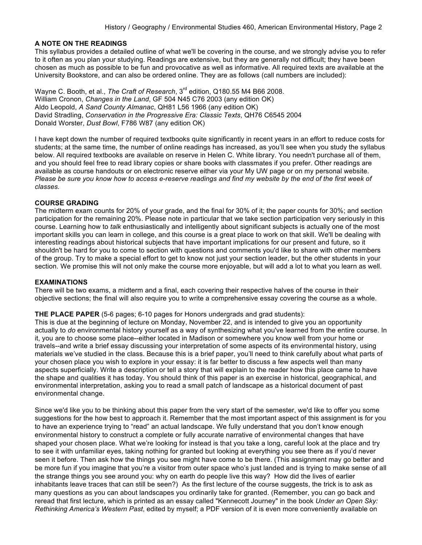#### **A NOTE ON THE READINGS**

This syllabus provides a detailed outline of what we'll be covering in the course, and we strongly advise you to refer to it often as you plan your studying. Readings are extensive, but they are generally not difficult; they have been chosen as much as possible to be fun and provocative as well as informative. All required texts are available at the University Bookstore, and can also be ordered online. They are as follows (call numbers are included):

Wayne C. Booth, et al., *The Craft of Research*, 3<sup>rd</sup> edition, Q180.55 M4 B66 2008. William Cronon, *Changes in the Land*, GF 504 N45 C76 2003 (any edition OK) Aldo Leopold, *A Sand County Almanac*, QH81 L56 1966 (any edition OK) David Stradling, *Conservation in the Progressive Era: Classic Texts*, QH76 C6545 2004 Donald Worster, *Dust Bowl*, F786 W87 (any edition OK)

I have kept down the number of required textbooks quite significantly in recent years in an effort to reduce costs for students; at the same time, the number of online readings has increased, as you'll see when you study the syllabus below. All required textbooks are available on reserve in Helen C. White library. You needn't purchase all of them, and you should feel free to read library copies or share books with classmates if you prefer. Other readings are available as course handouts or on electronic reserve either via your My UW page or on my personal website. *Please be sure you know how to access e-reserve readings and find my website by the end of the first week of classes.*

#### **COURSE GRADING**

The midterm exam counts for 20% of your grade, and the final for 30% of it; the paper counts for 30%; and section participation for the remaining 20%. Please note in particular that we take section participation very seriously in this course. Learning how to *talk* enthusiastically and intelligently about significant subjects is actually one of the most important skills you can learn in college, and this course is a great place to work on that skill. We'll be dealing with interesting readings about historical subjects that have important implications for our present and future, so it shouldn't be hard for you to come to section with questions and comments you'd like to share with other members of the group. Try to make a special effort to get to know not just your section leader, but the other students in your section. We promise this will not only make the course more enjoyable, but will add a lot to what you learn as well.

#### **EXAMINATIONS**

There will be two exams, a midterm and a final, each covering their respective halves of the course in their objective sections; the final will also require you to write a comprehensive essay covering the course as a whole.

#### **THE PLACE PAPER** (5-6 pages; 6-10 pages for Honors undergrads and grad students):

This is due at the beginning of lecture on Monday, November 22, and is intended to give you an opportunity actually to *do* environmental history yourself as a way of synthesizing what you've learned from the entire course. In it, you are to choose some place--either located in Madison or somewhere you know well from your home or travels--and write a brief essay discussing your interpretation of some aspects of its environmental history, using materials we've studied in the class. Because this is a brief paper, you'll need to think carefully about what parts of your chosen place you wish to explore in your essay: it is far better to discuss a few aspects well than many aspects superficially. Write a description or tell a story that will explain to the reader how this place came to have the shape and qualities it has today. You should think of this paper is an exercise in historical, geographical, and environmental interpretation, asking you to read a small patch of landscape as a historical document of past environmental change.

Since we'd like you to be thinking about this paper from the very start of the semester, we'd like to offer you some suggestions for the how best to approach it. Remember that the most important aspect of this assignment is for you to have an experience trying to "read" an actual landscape. We fully understand that you don't know enough environmental history to construct a complete or fully accurate narrative of environmental changes that have shaped your chosen place. What we're looking for instead is that you take a long, careful look at the place and try to see it with unfamiliar eyes, taking nothing for granted but looking at everything you see there as if you'd never seen it before. Then ask how the things you see might have come to be there. (This assignment may go better and be more fun if you imagine that you're a visitor from outer space who's just landed and is trying to make sense of all the strange things you see around you: why on earth do people live this way? How did the lives of earlier inhabitants leave traces that can still be seen?) As the first lecture of the course suggests, the trick is to ask as many questions as you can about landscapes you ordinarily take for granted. (Remember, you can go back and reread that first lecture, which is printed as an essay called "Kennecott Journey" in the book *Under an Open Sky: Rethinking America's Western Past*, edited by myself; a PDF version of it is even more conveniently available on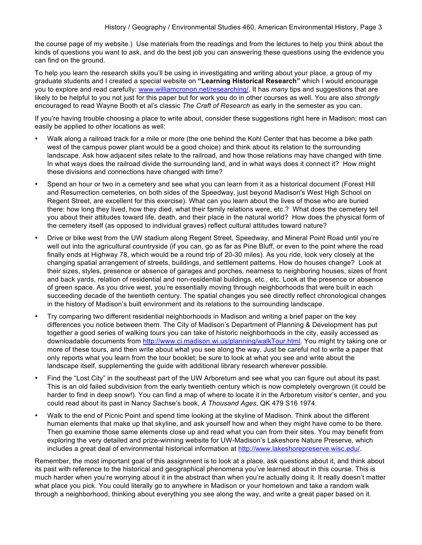the course page of my website.) Use materials from the readings and from the lectures to help you think about the kinds of questions you want to ask, and do the best job you can answering these questions using the evidence you can find on the ground.

To help you learn the research skills you'll be using in investigating and writing about your place, a group of my graduate students and I created a special website on **"Learning Historical Research"** which I would encourage you to explore and read carefully: www.williamcronon.net/researching/. It has *many* tips and suggestions that are likely to be helpful to you not just for this paper but for work you do in other courses as well. You are also *strongly* encouraged to read Wayne Booth et al's classic *The Craft of Research* as early in the semester as you can.

If you're having trouble choosing a place to write about, consider these suggestions right here in Madison; most can easily be applied to other locations as well:

- Walk along a railroad track for a mile or more (the one behind the Kohl Center that has become a bike path west of the campus power plant would be a good choice) and think about its relation to the surrounding landscape. Ask how adjacent sites relate to the railroad, and how those relations may have changed with time. In what ways does the railroad divide the surrounding land, and in what ways does it connect it? How might these divisions and connections have changed with time?
- Spend an hour or two in a cemetery and see what you can learn from it as a historical document (Forest Hill and Resurrection cemeteries, on both sides of the Speedway, just beyond Madison's West High School on Regent Street, are excellent for this exercise). What can you learn about the lives of those who are buried there: how long they lived, how they died, what their family relations were, etc.? What does the cemetery tell you about their attitudes toward life, death, and their place in the natural world? How does the physical form of the cemetery itself (as opposed to individual graves) reflect cultural attitudes toward nature?
- Drive or bike west from the UW stadium along Regent Street, Speedway, and Mineral Point Road until you're well out into the agricultural countryside (if you can, go as far as Pine Bluff, or even to the point where the road finally ends at Highway 78, which would be a round trip of 20-30 miles). As you ride, look very closely at the changing spatial arrangement of streets, buildings, and settlement patterns. How do houses change? Look at their sizes, styles, presence or absence of garages and porches, nearness to neighboring houses, sizes of front and back yards, relation of residential and non-residential buildings, etc., etc. Look at the presence or absence of green space. As you drive west, you're essentially moving through neighborhoods that were built in each succeeding decade of the twentieth century. The spatial changes you see directly reflect chronological changes in the history of Madison's built environment and its relations to the surrounding landscape.
- Try comparing two different residential neighborhoods in Madison and writing a brief paper on the key differences you notice between them. The City of Madison's Department of Planning & Development has put together a good series of walking tours you can take of historic neighborhoods in the city, easily accessed as downloadable documents from http://www.ci.madison.wi.us/planning/walkTour.html. You might try taking one or more of these tours, and then write about what you see along the way. Just be careful not to write a paper that only reports what you learn from the tour booklet; be sure to look at what you see and write about the landscape itself, supplementing the guide with additional library research wherever possible.
- Find the "Lost City" in the southeast part of the UW Arboretum and see what you can figure out about its past. This is an old failed subdivision from the early twentieth century which is now completely overgrown (it could be harder to find in deep snow!). You can find a map of where to locate it in the Arboretum visitor's center, and you could read about its past in Nancy Sachse's book, *A Thousand Ages*, QK 479 S16 1974.
- Walk to the end of Picnic Point and spend time looking at the skyline of Madison. Think about the different human elements that make up that skyline, and ask yourself how and when they might have come to be there. Then go examine those same elements close up and read what you can from their sites. You may benefit from exploring the very detailed and prize-winning website for UW-Madison's Lakeshore Nature Preserve, which includes a great deal of environmental historical information at http://www.lakeshorepreserve.wisc.edu/.

Remember, the most important goal of this assignment is to look at a place, ask questions about it, and think about its past with reference to the historical and geographical phenomena you've learned about in this course. This is much harder when you're worrying about it in the abstract than when you're actually doing it. It really doesn't matter what place you pick. You could literally go to anywhere in Madison or your hometown and take a random walk through a neighborhood, thinking about everything you see along the way, and write a great paper based on it.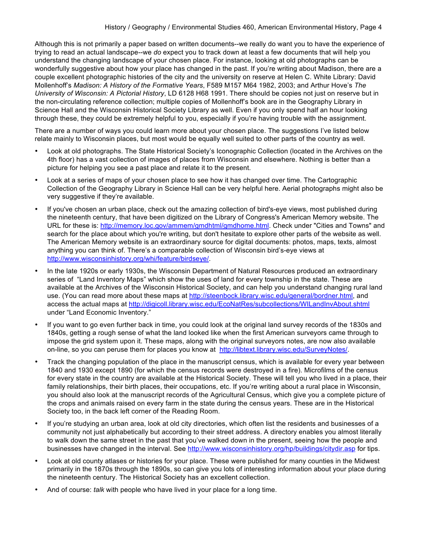Although this is not primarily a paper based on written documents--we really do want you to have the experience of trying to read an actual landscape--we *do* expect you to track down at least a few documents that will help you understand the changing landscape of your chosen place. For instance, looking at old photographs can be wonderfully suggestive about how your place has changed in the past. If you're writing about Madison, there are a couple excellent photographic histories of the city and the university on reserve at Helen C. White Library: David Mollenhoff's *Madison: A History of the Formative Years*, F589 M157 M64 1982, 2003; and Arthur Hove's *The University of Wisconsin: A Pictorial History*, LD 6128 H68 1991. There should be copies not just on reserve but in the non-circulating reference collection; multiple copies of Mollenhoff's book are in the Geography Library in Science Hall and the Wisconsin Historical Society Library as well. Even if you only spend half an hour looking through these, they could be extremely helpful to you, especially if you're having trouble with the assignment.

There are a number of ways you could learn more about your chosen place. The suggestions I've listed below relate mainly to Wisconsin places, but most would be equally well suited to other parts of the country as well.

- Look at old photographs. The State Historical Society's Iconographic Collection (located in the Archives on the 4th floor) has a vast collection of images of places from Wisconsin and elsewhere. Nothing is better than a picture for helping you see a past place and relate it to the present.
- Look at a series of maps of your chosen place to see how it has changed over time. The Cartographic Collection of the Geography Library in Science Hall can be very helpful here. Aerial photographs might also be very suggestive if they're available.
- If you've chosen an urban place, check out the amazing collection of bird's-eye views, most published during the nineteenth century, that have been digitized on the Library of Congress's American Memory website. The URL for these is: http://memory.loc.gov/ammem/gmdhtml/gmdhome.html. Check under "Cities and Towns" and search for the place about which you're writing, but don't hesitate to explore other parts of the website as well. The American Memory website is an extraordinary source for digital documents: photos, maps, texts, almost anything you can think of. There's a comparable collection of Wisconsin bird's-eye views at http://www.wisconsinhistory.org/whi/feature/birdseye/.
- In the late 1920s or early 1930s, the Wisconsin Department of Natural Resources produced an extraordinary series of "Land Inventory Maps" which show the uses of land for every township in the state. These are available at the Archives of the Wisconsin Historical Society, and can help you understand changing rural land use. (You can read more about these maps at http://steenbock.library.wisc.edu/general/bordner.html, and access the actual maps at http://digicoll.library.wisc.edu/EcoNatRes/subcollections/WILandInvAbout.shtml under "Land Economic Inventory."
- If you want to go even further back in time, you could look at the original land survey records of the 1830s and 1840s, getting a rough sense of what the land looked like when the first American surveyors came through to impose the grid system upon it. These maps, along with the original surveyors notes, are now also available on-line, so you can peruse them for places you know at http://libtext.library.wisc.edu/SurveyNotes/.
- Track the changing population of the place in the manuscript census, which is available for every year between 1840 and 1930 except 1890 (for which the census records were destroyed in a fire). Microfilms of the census for every state in the country are available at the Historical Society. These will tell you who lived in a place, their family relationships, their birth places, their occupations, etc. If you're writing about a rural place in Wisconsin, you should also look at the manuscript records of the Agricultural Census, which give you a complete picture of the crops and animals raised on every farm in the state during the census years. These are in the Historical Society too, in the back left corner of the Reading Room.
- If you're studying an urban area, look at old city directories, which often list the residents and businesses of a community not just alphabetically but according to their street address. A directory enables you almost literally to walk down the same street in the past that you've walked down in the present, seeing how the people and businesses have changed in the interval. See http://www.wisconsinhistory.org/hp/buildings/citydir.asp for tips.
- Look at old county atlases or histories for your place. These were published for many counties in the Midwest primarily in the 1870s through the 1890s, so can give you lots of interesting information about your place during the nineteenth century. The Historical Society has an excellent collection.
- And of course: *talk* with people who have lived in your place for a long time.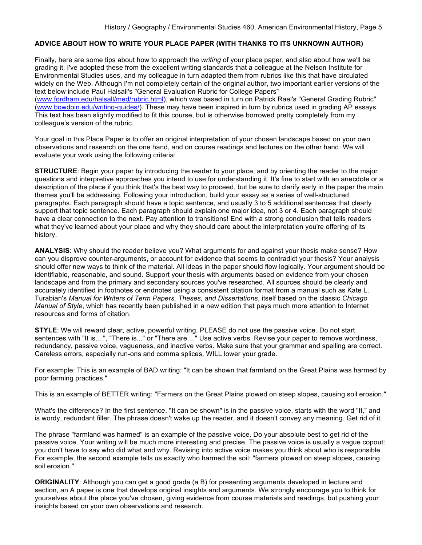#### **ADVICE ABOUT HOW TO WRITE YOUR PLACE PAPER (WITH THANKS TO ITS UNKNOWN AUTHOR)**

Finally, here are some tips about how to approach the *writing* of your place paper, and also about how we'll be grading it. I've adopted these from the excellent writing standards that a colleague at the Nelson Institute for Environmental Studies uses, and my colleague in turn adapted them from rubrics like this that have circulated widely on the Web. Although I'm not completely certain of the original author, two important earlier versions of the text below include Paul Halsall's "General Evaluation Rubric for College Papers" (www.fordham.edu/halsall/med/rubric.html), which was based in turn on Patrick Rael's "General Grading Rubric" (www.bowdoin.edu/writing-guides/). These may have been inspired in turn by rubrics used in grading AP essays. This text has been slightly modified to fit this course, but is otherwise borrowed pretty completely from my colleague's version of the rubric.

Your goal in this Place Paper is to offer an original interpretation of your chosen landscape based on your own observations and research on the one hand, and on course readings and lectures on the other hand. We will evaluate your work using the following criteria:

**STRUCTURE**: Begin your paper by introducing the reader to your place, and by orienting the reader to the major questions and interpretive approaches you intend to use for understanding it. It's fine to start with an anecdote or a description of the place if you think that's the best way to proceed, but be sure to clarify early in the paper the main themes you'll be addressing. Following your introduction, build your essay as a series of well-structured paragraphs. Each paragraph should have a topic sentence, and usually 3 to 5 additional sentences that clearly support that topic sentence. Each paragraph should explain one major idea, not 3 or 4. Each paragraph should have a clear connection to the next. Pay attention to transitions! End with a strong conclusion that tells readers what they've learned about your place and why they should care about the interpretation you're offering of its history.

**ANALYSIS**: Why should the reader believe you? What arguments for and against your thesis make sense? How can you disprove counter-arguments, or account for evidence that seems to contradict your thesis? Your analysis should offer new ways to think of the material. All ideas in the paper should flow logically. Your argument should be identifiable, reasonable, and sound. Support your thesis with arguments based on evidence from your chosen landscape and from the primary and secondary sources you've researched. All sources should be clearly and accurately identified in footnotes or endnotes using a consistent citation format from a manual such as Kate L. Turabian's *Manual for Writers of Term Papers, Theses, and Dissertations*, itself based on the classic *Chicago Manual of Style*, which has recently been published in a new edition that pays much more attention to Internet resources and forms of citation.

**STYLE**: We will reward clear, active, powerful writing. PLEASE do not use the passive voice. Do not start sentences with "It is....", "There is..." or "There are...." Use active verbs. Revise your paper to remove wordiness, redundancy, passive voice, vagueness, and inactive verbs. Make sure that your grammar and spelling are correct. Careless errors, especially run-ons and comma splices, WILL lower your grade.

For example: This is an example of BAD writing: "It can be shown that farmland on the Great Plains was harmed by poor farming practices."

This is an example of BETTER writing: "Farmers on the Great Plains plowed on steep slopes, causing soil erosion."

What's the difference? In the first sentence, "It can be shown" is in the passive voice, starts with the word "It," and is wordy, redundant filler. The phrase doesn't wake up the reader, and it doesn't convey any meaning. Get rid of it.

The phrase "farmland was harmed" is an example of the passive voice. Do your absolute best to get rid of the passive voice. Your writing will be much more interesting and precise. The passive voice is usually a vague copout: you don't have to say who did what and why. Revising into active voice makes you think about who is responsible. For example, the second example tells us exactly who harmed the soil: "farmers plowed on steep slopes, causing soil erosion."

**ORIGINALITY**: Although you can get a good grade (a B) for presenting arguments developed in lecture and section, an A paper is one that develops original insights and arguments. We strongly encourage you to think for yourselves about the place you've chosen, giving evidence from course materials and readings, but pushing your insights based on your own observations and research.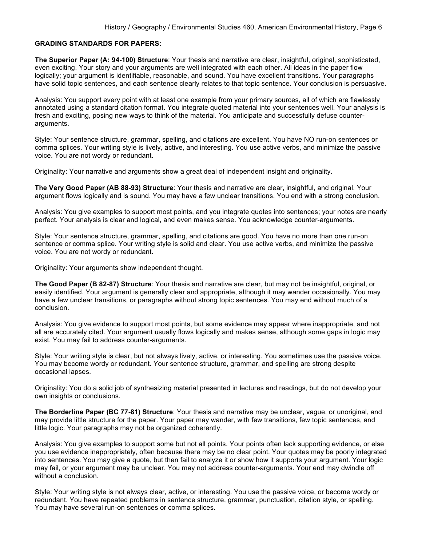#### **GRADING STANDARDS FOR PAPERS:**

**The Superior Paper (A: 94-100) Structure**: Your thesis and narrative are clear, insightful, original, sophisticated, even exciting. Your story and your arguments are well integrated with each other. All ideas in the paper flow logically; your argument is identifiable, reasonable, and sound. You have excellent transitions. Your paragraphs have solid topic sentences, and each sentence clearly relates to that topic sentence. Your conclusion is persuasive.

Analysis: You support every point with at least one example from your primary sources, all of which are flawlessly annotated using a standard citation format. You integrate quoted material into your sentences well. Your analysis is fresh and exciting, posing new ways to think of the material. You anticipate and successfully defuse counterarguments.

Style: Your sentence structure, grammar, spelling, and citations are excellent. You have NO run-on sentences or comma splices. Your writing style is lively, active, and interesting. You use active verbs, and minimize the passive voice. You are not wordy or redundant.

Originality: Your narrative and arguments show a great deal of independent insight and originality.

**The Very Good Paper (AB 88-93) Structure**: Your thesis and narrative are clear, insightful, and original. Your argument flows logically and is sound. You may have a few unclear transitions. You end with a strong conclusion.

Analysis: You give examples to support most points, and you integrate quotes into sentences; your notes are nearly perfect. Your analysis is clear and logical, and even makes sense. You acknowledge counter-arguments.

Style: Your sentence structure, grammar, spelling, and citations are good. You have no more than one run-on sentence or comma splice. Your writing style is solid and clear. You use active verbs, and minimize the passive voice. You are not wordy or redundant.

Originality: Your arguments show independent thought.

**The Good Paper (B 82-87) Structure**: Your thesis and narrative are clear, but may not be insightful, original, or easily identified. Your argument is generally clear and appropriate, although it may wander occasionally. You may have a few unclear transitions, or paragraphs without strong topic sentences. You may end without much of a conclusion.

Analysis: You give evidence to support most points, but some evidence may appear where inappropriate, and not all are accurately cited. Your argument usually flows logically and makes sense, although some gaps in logic may exist. You may fail to address counter-arguments.

Style: Your writing style is clear, but not always lively, active, or interesting. You sometimes use the passive voice. You may become wordy or redundant. Your sentence structure, grammar, and spelling are strong despite occasional lapses.

Originality: You do a solid job of synthesizing material presented in lectures and readings, but do not develop your own insights or conclusions.

**The Borderline Paper (BC 77-81) Structure**: Your thesis and narrative may be unclear, vague, or unoriginal, and may provide little structure for the paper. Your paper may wander, with few transitions, few topic sentences, and little logic. Your paragraphs may not be organized coherently.

Analysis: You give examples to support some but not all points. Your points often lack supporting evidence, or else you use evidence inappropriately, often because there may be no clear point. Your quotes may be poorly integrated into sentences. You may give a quote, but then fail to analyze it or show how it supports your argument. Your logic may fail, or your argument may be unclear. You may not address counter-arguments. Your end may dwindle off without a conclusion.

Style: Your writing style is not always clear, active, or interesting. You use the passive voice, or become wordy or redundant. You have repeated problems in sentence structure, grammar, punctuation, citation style, or spelling. You may have several run-on sentences or comma splices.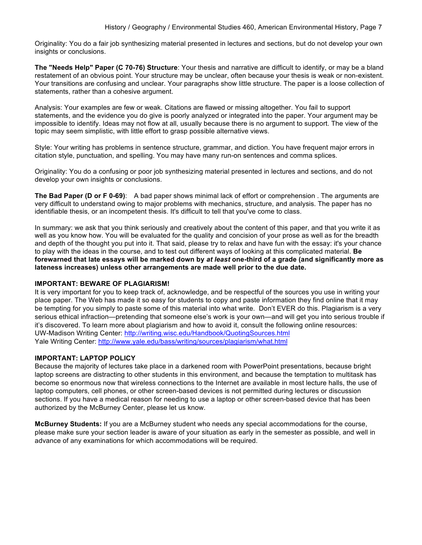Originality: You do a fair job synthesizing material presented in lectures and sections, but do not develop your own insights or conclusions.

**The "Needs Help" Paper (C 70-76) Structure**: Your thesis and narrative are difficult to identify, or may be a bland restatement of an obvious point. Your structure may be unclear, often because your thesis is weak or non-existent. Your transitions are confusing and unclear. Your paragraphs show little structure. The paper is a loose collection of statements, rather than a cohesive argument.

Analysis: Your examples are few or weak. Citations are flawed or missing altogether. You fail to support statements, and the evidence you do give is poorly analyzed or integrated into the paper. Your argument may be impossible to identify. Ideas may not flow at all, usually because there is no argument to support. The view of the topic may seem simplistic, with little effort to grasp possible alternative views.

Style: Your writing has problems in sentence structure, grammar, and diction. You have frequent major errors in citation style, punctuation, and spelling. You may have many run-on sentences and comma splices.

Originality: You do a confusing or poor job synthesizing material presented in lectures and sections, and do not develop your own insights or conclusions.

**The Bad Paper (D or F 0-69)**: A bad paper shows minimal lack of effort or comprehension . The arguments are very difficult to understand owing to major problems with mechanics, structure, and analysis. The paper has no identifiable thesis, or an incompetent thesis. It's difficult to tell that you've come to class.

In summary: we ask that you think seriously and creatively about the content of this paper, and that you write it as well as you know how. You will be evaluated for the quality and concision of your prose as well as for the breadth and depth of the thought you put into it. That said, please try to relax and have fun with the essay: it's your chance to play with the ideas in the course, and to test out different ways of looking at this complicated material. **Be forewarned that late essays will be marked down by** *at least* **one-third of a grade (and significantly more as lateness increases) unless other arrangements are made well prior to the due date.** 

### **IMPORTANT: BEWARE OF PLAGIARISM!**

It is very important for you to keep track of, acknowledge, and be respectful of the sources you use in writing your place paper. The Web has made it so easy for students to copy and paste information they find online that it may be tempting for you simply to paste some of this material into what write. Don't EVER do this. Plagiarism is a very serious ethical infraction—pretending that someone else's work is your own—and will get you into serious trouble if it's discovered. To learn more about plagiarism and how to avoid it, consult the following online resources: UW-Madison Writing Center: http://writing.wisc.edu/Handbook/QuotingSources.html Yale Writing Center: http://www.yale.edu/bass/writing/sources/plagiarism/what.html

### **IMPORTANT: LAPTOP POLICY**

Because the majority of lectures take place in a darkened room with PowerPoint presentations, because bright laptop screens are distracting to other students in this environment, and because the temptation to multitask has become so enormous now that wireless connections to the Internet are available in most lecture halls, the use of laptop computers, cell phones, or other screen-based devices is not permitted during lectures or discussion sections. If you have a medical reason for needing to use a laptop or other screen-based device that has been authorized by the McBurney Center, please let us know.

**McBurney Students:** If you are a McBurney student who needs any special accommodations for the course, please make sure your section leader is aware of your situation as early in the semester as possible, and well in advance of any examinations for which accommodations will be required.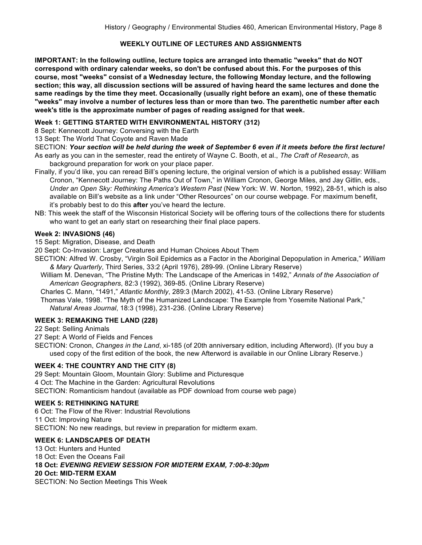# **WEEKLY OUTLINE OF LECTURES AND ASSIGNMENTS**

**IMPORTANT: In the following outline, lecture topics are arranged into thematic "weeks" that do NOT correspond with ordinary calendar weeks, so don't be confused about this. For the purposes of this course, most "weeks" consist of a Wednesday lecture, the following Monday lecture, and the following section; this way, all discussion sections will be assured of having heard the same lectures and done the same readings by the time they meet. Occasionally (usually right before an exam), one of these thematic "weeks" may involve a number of lectures less than or more than two. The parenthetic number after each week's title is the approximate number of pages of reading assigned for that week.**

## **Week 1: GETTING STARTED WITH ENVIRONMENTAL HISTORY (312)**

8 Sept: Kennecott Journey: Conversing with the Earth

13 Sept: The World That Coyote and Raven Made

SECTION: *Your section will be held during the week of September 6 even if it meets before the first lecture!*

As early as you can in the semester, read the entirety of Wayne C. Booth, et al., *The Craft of Research*, as background preparation for work on your place paper.

Finally, if you'd like, you can reread Bill's opening lecture, the original version of which is a published essay: William Cronon, "Kennecott Journey: The Paths Out of Town," in William Cronon, George Miles, and Jay Gitlin, eds., *Under an Open Sky: Rethinking America's Western Past* (New York: W. W. Norton, 1992), 28-51, which is also available on Bill's website as a link under "Other Resources" on our course webpage. For maximum benefit, it's probably best to do this **after** you've heard the lecture.

NB: This week the staff of the Wisconsin Historical Society will be offering tours of the collections there for students who want to get an early start on researching their final place papers.

### **Week 2: INVASIONS (46)**

15 Sept: Migration, Disease, and Death

20 Sept: Co-Invasion: Larger Creatures and Human Choices About Them

SECTION: Alfred W. Crosby, "Virgin Soil Epidemics as a Factor in the Aboriginal Depopulation in America," *William & Mary Quarterly*, Third Series, 33:2 (April 1976), 289-99. (Online Library Reserve)

 William M. Denevan, "The Pristine Myth: The Landscape of the Americas in 1492," *Annals of the Association of American Geographers*, 82:3 (1992), 369-85. (Online Library Reserve)

Charles C. Mann, "1491," *Atlantic Monthly*, 289:3 (March 2002), 41-53. (Online Library Reserve)

 Thomas Vale, 1998. "The Myth of the Humanized Landscape: The Example from Yosemite National Park," *Natural Areas Journal*, 18:3 (1998), 231-236. (Online Library Reserve)

### **WEEK 3: REMAKING THE LAND (228)**

22 Sept: Selling Animals

27 Sept: A World of Fields and Fences

SECTION: Cronon, *Changes in the Land*, xi-185 (of 20th anniversary edition, including Afterword). (If you buy a used copy of the first edition of the book, the new Afterword is available in our Online Library Reserve.)

### **WEEK 4: THE COUNTRY AND THE CITY (8)**

29 Sept: Mountain Gloom, Mountain Glory: Sublime and Picturesque 4 Oct: The Machine in the Garden: Agricultural Revolutions SECTION: Romanticism handout (available as PDF download from course web page)

#### **WEEK 5: RETHINKING NATURE**

6 Oct: The Flow of the River: Industrial Revolutions 11 Oct: Improving Nature SECTION: No new readings, but review in preparation for midterm exam.

### **WEEK 6: LANDSCAPES OF DEATH**

13 Oct: Hunters and Hunted 18 Oct: Even the Oceans Fail **18 Oct:** *EVENING REVIEW SESSION FOR MIDTERM EXAM, 7:00-8:30pm* **20 Oct: MID-TERM EXAM** SECTION: No Section Meetings This Week